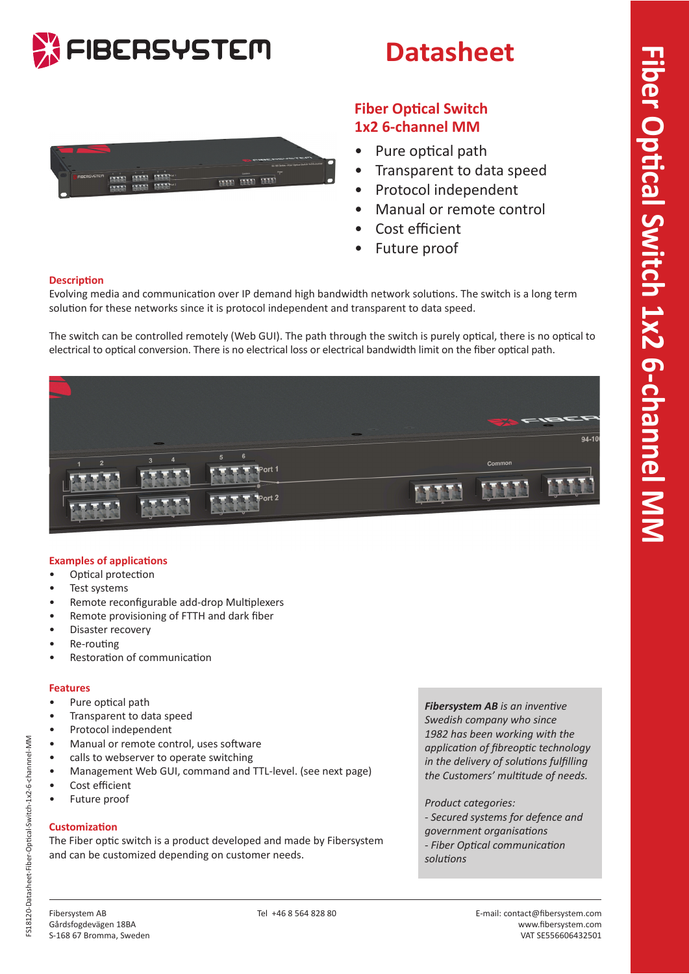



## **Datasheet**



## **Fiber Optical Switch 1x2 6-channel MM**

- Pure optical path
- Transparent to data speed
- Protocol independent
- Manual or remote control
- Cost efficient
- Future proof

### **Description**

Evolving media and communication over IP demand high bandwidth network solutions. The switch is a long term solution for these networks since it is protocol independent and transparent to data speed.

The switch can be controlled remotely (Web GUI). The path through the switch is purely optical, there is no optical to electrical to optical conversion. There is no electrical loss or electrical bandwidth limit on the fiber optical path.



## **Examples of applications**

- Optical protection
- Test systems
- Remote reconfigurable add-drop Multiplexers
- Remote provisioning of FTTH and dark fiber
- Disaster recovery
- Re-routing
- Restoration of communication

## **Features**

- Pure optical path
- Transparent to data speed
- Protocol independent
- Manual or remote control, uses software
- calls to webserver to operate switching
- Management Web GUI, command and TTL-level. (see next page)
- Cost efficient
- Future proof

## **Customization**

The Fiber optic switch is a product developed and made by Fibersystem and can be customized depending on customer needs.

*Fibersystem AB is an inventive Swedish company who since 1982 has been working with the application of fibreoptic technology in the delivery of solutions fulfilling the Customers' multitude of needs.*

*Product categories: - Secured systems for defence and government organisations - Fiber Optical communication* 

*solutions*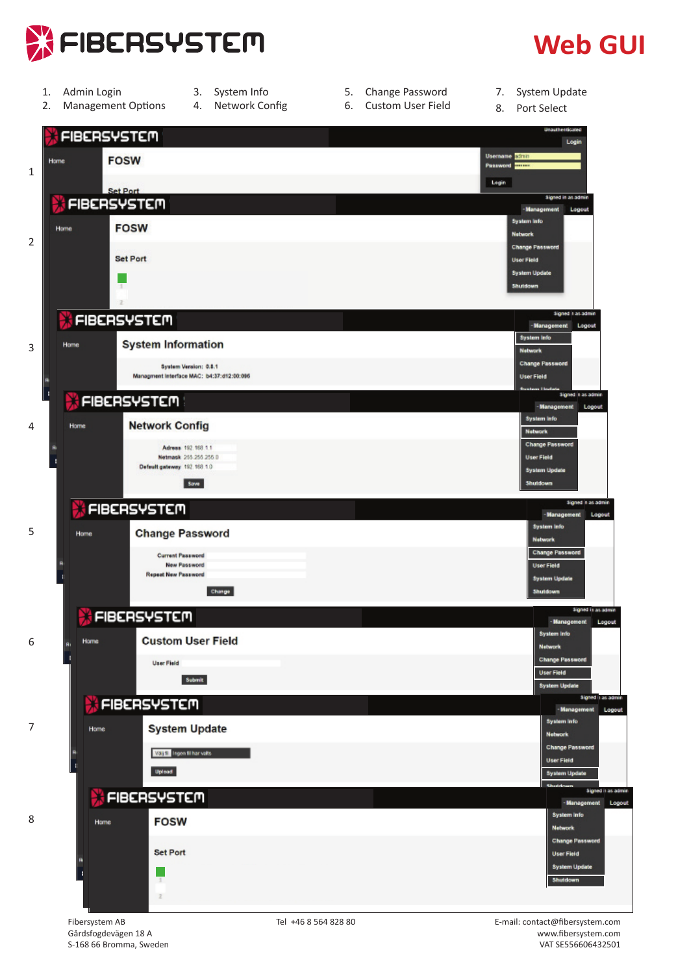

## **Web GUI**

- 1. Admin Login
	- 2. Management Options
- 3. System Info 4. Network Config
- 5. Change Password 6. Custom User Field
- 7. System Update
- 8. Port Select